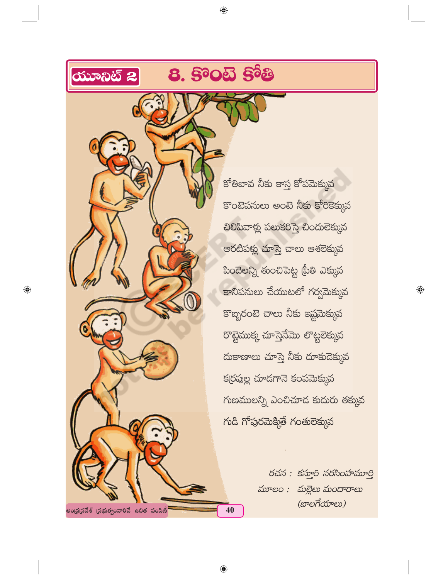

◈

కోతిబావ నీకు కాస్త కోపమెక్కువ  $\overline{\mathbf{S}}$ ంటెపనులు అంటె నీకు కోరికెక్కువ  $-20$ బివాళ్లు పలుకరిస్తె, చిందులెక్కువ అరటీపళ్లు చూస్తె చాలు ఆశలెక్కువ బిందెలన్ని తుంచిపెట్ట (పీతి ఎక్కువ  $\overline{\mathbf{S}}$ -Rá $\infty$ బాబేయుటలో గర్వమెక్కువ కొబ్బరంటె చాలు నీకు ఇష్టమెక్కువ రొట్టెముక్క చూస్తెనేమొ లొట్టలెక్కువ దుకాణాలు చూస్తె నీకు దూకుడెక్కువ క(రపుల్ల చూడగానె కంపమెక్కువ  $\gamma$  hobbs 2010  $\gamma$ 20  $\gamma$  and  $\gamma$  and  $\gamma$  in  $\gamma$  $\chi$ ර්ධී ෆ්රාරික්පී රුණිවිහා

 $\bigoplus$ 

రచన: కస్తూరి నరసింహమూర్తి  $\Delta$  $\omega$ e $\alpha$ :  $\Delta$  $\approx$   $\alpha$  $\approx$   $\alpha$  $\approx$   $\alpha$  $(x^{\mathrm{p}}e\vec{n})$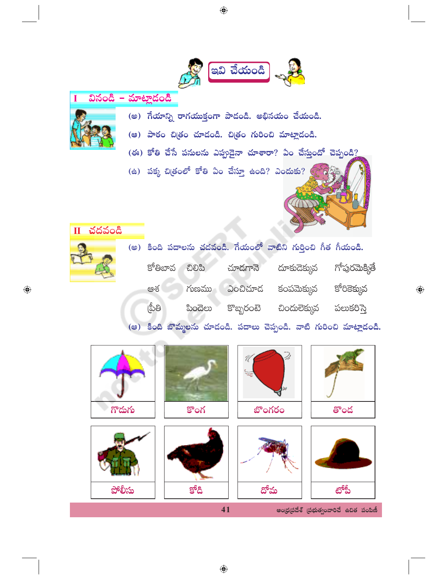



Ī

 $\overline{\mathbf{u}}$ 

 $\bigoplus$ 

(అ) గేయాన్ని రాగయుక్తంగా పాడండి. అభినయం చేయండి.

 $\bigoplus$ 

- (అ) పాఠం చిత్రం చూడండి. చిత్రం గురించి మాట్లాడండి.
- $($ ఈ) కోతి చేసే పనులను ఎప్పుదైనా చూశారా? ఏం చేస్తుందో చెప్పండి?

(ఉ) పక్క చిత్రంలో కోతి ఏం చేస్తూ ఉంది? ఎందుకు?  $\epsilon$ 

| చదవండి |       |         |        |           |                                                                     |               |
|--------|-------|---------|--------|-----------|---------------------------------------------------------------------|---------------|
|        |       |         |        |           | (అ) కింది పదాలను చదవండి. గేయంలో వాటిని గుర్తించి గీత గీయండి.        |               |
|        |       | కోతిబావ | ඩුව්ඨ  | చూదగానె   | దూకుదెక్కువ                                                         | గోపురమెక్మితే |
|        |       | ఆశ      | గుణము  | ఎంచిచూద   | కంపమెక్కువ                                                          | కోరికెక్మువ   |
|        | ౹పీతి |         | ಪಿಂದಲು | కొబ్బరంటె | <u>చిందులెక్కువ</u>                                                 | పలుకరిస్తె    |
|        |       |         |        |           | (ఆ) కింది బొమ్మలను చూదండి. పదాలు చెప్పండి. వాటి గురించి మాట్లాదండి. |               |

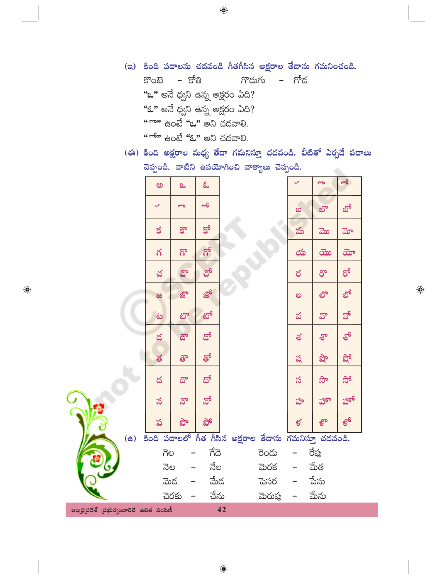- (ఇ) కింది పదాలను చదవండి గీతగీసిన అక్షరాల తేదాను గమనించండి.  $SOB$  –  $S^6B$ – గోద గొదుగు "ఒ" అనే ధ్వని ఉన్న అక్షరం ఏది? **"ఓ"** అనే ధ్వని ఉన్న అక్షరం ఏది? <u>" గాం" ఉంటే "ఒ" అని చదవాలి.</u> <u>"ో" ఉం</u>టే **"ఓ"** అని చదవాలి.
- (ఈ) కింది అక్షరాల మధ్య తేడా గమనిస్తూ చదవండి. వీటితో ఏర్పడే పదాలు చెప్పండి. వాటిని ఉపయోగించి వాక్యాలు చెప్పండి. a.

 $\bigoplus$ 

|                                         | అ                          | ಒ           | ಓ                     |                                                        |         | $\checkmark$ | $\overline{\mathbf{c}}$  | $-5$ |
|-----------------------------------------|----------------------------|-------------|-----------------------|--------------------------------------------------------|---------|--------------|--------------------------|------|
|                                         | $\checkmark$               | å           | $\sigma$              |                                                        |         | ಐ            | బొ                       | బో   |
|                                         | $\leq$                     | కొ          | <b>g</b> <sup>6</sup> |                                                        |         | మ            | ಮ                        | మో   |
|                                         | గ                          | $5^{\circ}$ | ಗ್                    |                                                        |         | య            | $\overline{c}$           | ದೌ   |
|                                         | చ                          | చొ          | చో                    |                                                        |         | ర            | రొ                       | ರ್   |
|                                         | æ                          | జ్లా        | జో                    |                                                        |         | ಲ            | లా                       | లో   |
|                                         | ف                          | టొ          | టో                    |                                                        |         | వ            | వొ                       | వో   |
|                                         | $\boldsymbol{\mathcal{Z}}$ | డొ          | డో                    |                                                        |         | ಕ            | శి                       | ත්   |
|                                         | త                          | తొ          | తో                    |                                                        |         | ష            | $\partial \partial \Phi$ | షో   |
|                                         | ద                          | దొ          | దో                    |                                                        |         | స            | స్లో                     | ನ್   |
|                                         | వ                          | నొ          | నో                    |                                                        |         | హ            | హా                       | హో   |
|                                         | ప                          | ಭೌ          | ನ್                    |                                                        |         | ళ            | ల్ధొం                    | ల్ధో |
| $\ddot{\mathbf{a}}$                     |                            |             |                       | కింది పదాలలో గీత గీసిన అక్షరాల తేదాను గమనిస్తూ చదవండి. |         |              |                          |      |
|                                         | ಗಲ                         |             | ಗೆದ                   |                                                        | రెండు   |              | రేప్త                    |      |
|                                         | నెల                        |             | నేల                   |                                                        | మెరక    |              | మేత                      |      |
|                                         |                            | ಮెದ         | మేద                   |                                                        | పెసర    |              | పేను                     |      |
|                                         |                            | చెరకు       | చేను                  |                                                        | మెరుప్ర |              | మేను                     |      |
| ఆంధ్రప్రదేశ్ (పభుత్వంవారిచే ఉచిత పంపిణీ |                            |             |                       | 42                                                     |         |              |                          |      |

 $\bigoplus$ 

 $\bigoplus$ 

Ĉ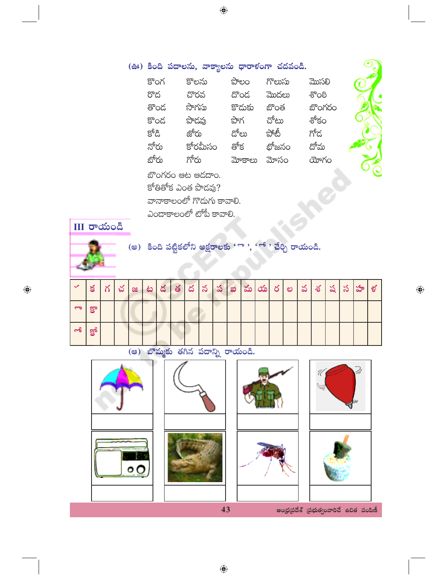$\bigoplus$ 

| (ఊ) కింది పదాలను, వాక్యాలను ధారాళంగా చదవండి. |                           |             |        |        |  |  |  |  |  |  |  |
|----------------------------------------------|---------------------------|-------------|--------|--------|--|--|--|--|--|--|--|
| కొంగ                                         | కొలను                     | పొలం        | గొలుసు | మొసలి  |  |  |  |  |  |  |  |
| రొద                                          | చొరవ                      | దొంద        | మొదలు  | ಕೌಂಠಿ  |  |  |  |  |  |  |  |
| తొంద                                         | సొగసు                     | కొదుకు బొంత |        | బొంగరం |  |  |  |  |  |  |  |
| కొండ                                         | పొదవు                     | పొగ         | చోటు   | శోకం   |  |  |  |  |  |  |  |
| క్రోడి                                       | జోరు                      | దోలు        | పోటీ   | గోద    |  |  |  |  |  |  |  |
| నోరు                                         | కోరమీసం                   | ణోక         | బోజనం  | దోమ    |  |  |  |  |  |  |  |
| బోరు                                         | గోరు                      | మోకాలు      | మోసం   | యోగం   |  |  |  |  |  |  |  |
|                                              | బొంగరం ఆట ఆడదాం.          |             |        |        |  |  |  |  |  |  |  |
|                                              | కోతితోక ఎంత పొడవు?        |             |        |        |  |  |  |  |  |  |  |
|                                              | వానాకాలంలో గొడుగు కావాలి. |             |        |        |  |  |  |  |  |  |  |
|                                              | ఎందాకాలంలో టోపీ కావాలి.   |             |        |        |  |  |  |  |  |  |  |

 $\bigoplus$ 





 $\bigoplus$ 

(అ) కింది పట్టికలోని అక్షరాలకు 'ొ ', 'ో ' చేర్చి రాయండి.

| $\mathcal{L}$ | $\leq$ | $\gamma$ | చ | $\infty$ | ತಿ | $\frac{1}{2}$ $\frac{1}{2}$ | ద | $ \boldsymbol{\mathcal{S}} $ | $\infty$ | ဆ | మ $ \nabla \phi $ ర | ల | $\infty$ | శ | ್ನ | <u>, స</u> | $\frac{1}{2}$ | ళ |
|---------------|--------|----------|---|----------|----|-----------------------------|---|------------------------------|----------|---|---------------------|---|----------|---|----|------------|---------------|---|
| ್             | కొ     |          |   |          |    |                             |   |                              |          |   |                     |   |          |   |    |            |               |   |
| $\sim$        | $g^2$  |          |   |          |    |                             |   |                              |          |   |                     |   |          |   |    |            |               |   |



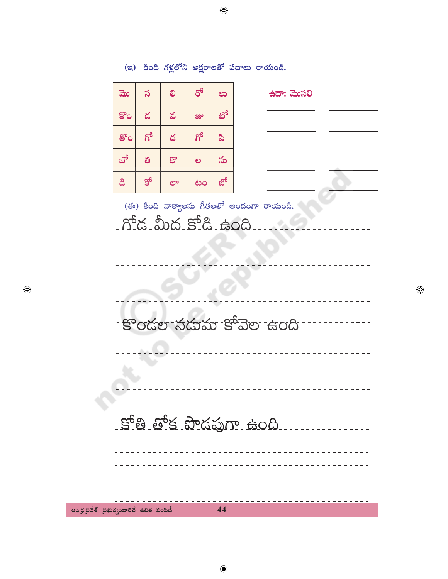(ఇ) కింది గళ్లలోని అక్షరాలతో పదాలు రాయండి.  $\sigma$ స మొ లి ఉదా: మొసలి లు టో డ కొం వ జ్రు ಗ್ ಗ್ డ ಪಿ తొం బో ತಿ  $\mathbb{S}^{\circ}$ ను ల క్రో బో డి లా టం (ఈ) కింది వాక్యాలను గీతలలో అందంగా రాయండి. <u> ကိုင်း ဆင်း ဆိုင်း အဲဝင်း - </u> ÷  $- - \frac{1}{2}$ <u>- కొండల నడుమ కోవెల ఉంది :</u>  $- - - - - - -$ <u> - - - - - - - - - - -</u> --------------<u> - కోతి -తోక -పొడవుగా -ఉంది - - - - - - -</u>  $\omega = \omega = \omega$ 

<u>--------------------</u>

44

 $\bigoplus$ 

ఆంధ్రప్రదేశ్ (పభుత్వంవారిచే ఉచిత పంపిణీ

 $\bigoplus$ 

 $\bigoplus$